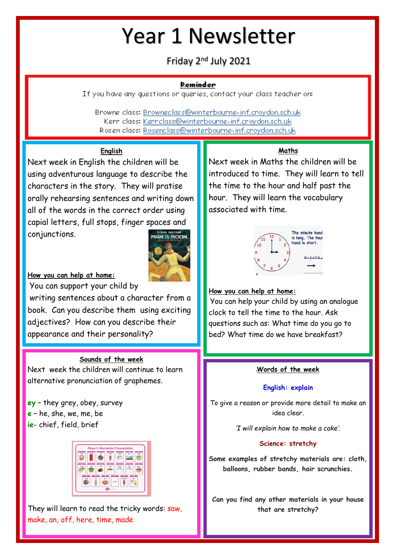## Year 1 Newsletter

Friday 2nd July 2021

#### Reminder

If you have any questions or queries, contact your class teacher on:

Browne class: Browneclass@winterbourne-inf.croydon.sch.uk Kerr class: Kerrclass@winterbourne-inf.crovdon.sch.uk Rosen class: Rosenclass@winterbourne-inf.croydon.sch.uk

## **English**

Next week in English the children will be using adventurous language to describe the characters in the story. They will pratise orally rehearsing sentences and writing down all of the words in the correct order using capial letters, full stops, finger spaces and conjunctions.



**How you can help at home:**

You can support your child by

writing sentences about a character from a book. Can you describe them using exciting adjectives? How can you describe their appearance and their personality?

### **Sounds of the week**

Next week the children will continue to learn alternative pronunciation of graphemes.

**ey** – they grey, obey, survey **e** – he, she, we, me, be **ie**- chief, field, brief



They will learn to read the tricky words: saw, make, an, off, here, time, made

### **Maths**

Next week in Maths the children will be introduced to time. They will learn to tell the time to the hour and half past the hour. They will learn the vocabulary associated with time.



### **How you can help at home:**

You can help your child by using an analogue clock to tell the time to the hour. Ask questions such as: What time do you go to bed? What time do we have breakfast?

### **Words of the week**

#### **English: explain**

To give a reason or provide more detail to make an idea clear.

*'I will explain how to make a cake'.*

#### **Science: stretchy**

**Some examples of stretchy materials are: cloth, balloons, rubber bands, hair scrunchies.**

**Can you find any other materials in your house that are stretchy?**